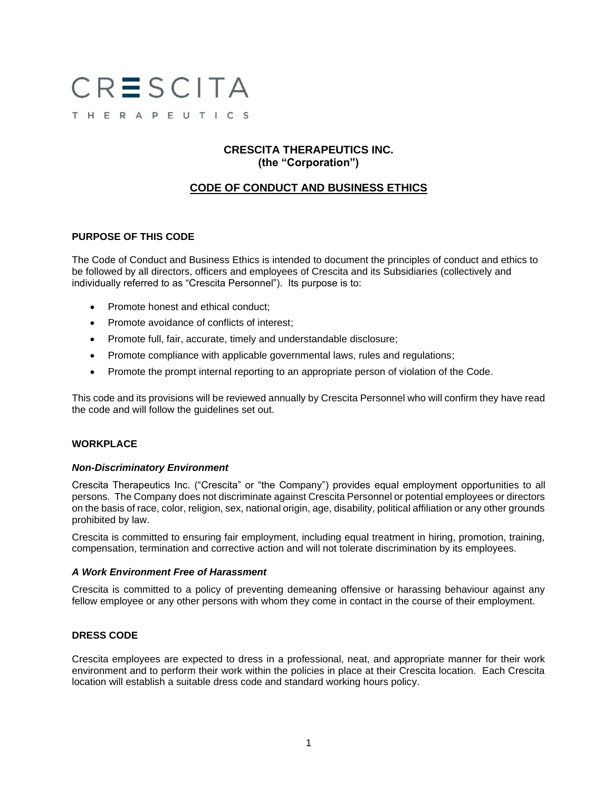# CRESCITA THERAPEUTICS

## **CRESCITA THERAPEUTICS INC. (the "Corporation")**

# **CODE OF CONDUCT AND BUSINESS ETHICS**

## **PURPOSE OF THIS CODE**

The Code of Conduct and Business Ethics is intended to document the principles of conduct and ethics to be followed by all directors, officers and employees of Crescita and its Subsidiaries (collectively and individually referred to as "Crescita Personnel"). Its purpose is to:

- Promote honest and ethical conduct;
- Promote avoidance of conflicts of interest;
- Promote full, fair, accurate, timely and understandable disclosure;
- Promote compliance with applicable governmental laws, rules and regulations;
- Promote the prompt internal reporting to an appropriate person of violation of the Code.

This code and its provisions will be reviewed annually by Crescita Personnel who will confirm they have read the code and will follow the guidelines set out.

## **WORKPLACE**

#### *Non-Discriminatory Environment*

Crescita Therapeutics Inc. ("Crescita" or "the Company") provides equal employment opportunities to all persons. The Company does not discriminate against Crescita Personnel or potential employees or directors on the basis of race, color, religion, sex, national origin, age, disability, political affiliation or any other grounds prohibited by law.

Crescita is committed to ensuring fair employment, including equal treatment in hiring, promotion, training, compensation, termination and corrective action and will not tolerate discrimination by its employees.

#### *A Work Environment Free of Harassment*

Crescita is committed to a policy of preventing demeaning offensive or harassing behaviour against any fellow employee or any other persons with whom they come in contact in the course of their employment.

#### **DRESS CODE**

Crescita employees are expected to dress in a professional, neat, and appropriate manner for their work environment and to perform their work within the policies in place at their Crescita location. Each Crescita location will establish a suitable dress code and standard working hours policy.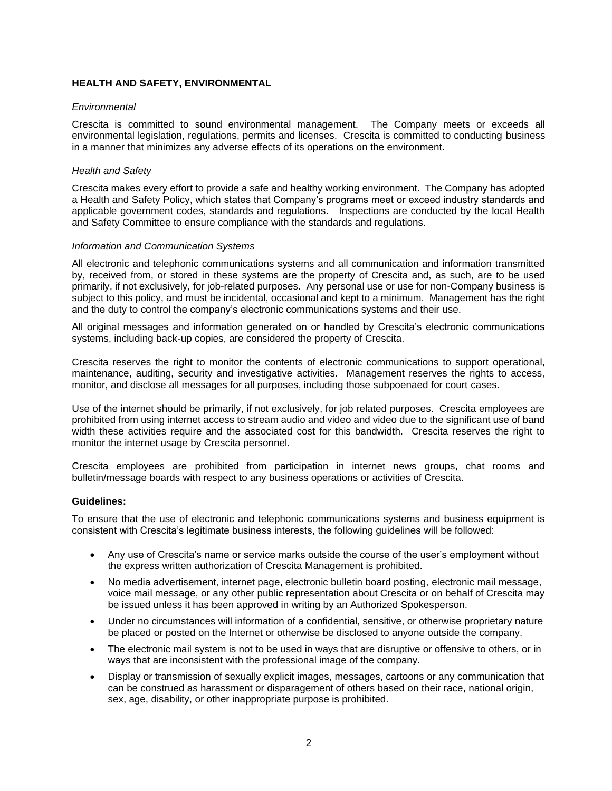## **HEALTH AND SAFETY, ENVIRONMENTAL**

#### *Environmental*

Crescita is committed to sound environmental management. The Company meets or exceeds all environmental legislation, regulations, permits and licenses. Crescita is committed to conducting business in a manner that minimizes any adverse effects of its operations on the environment.

#### *Health and Safety*

Crescita makes every effort to provide a safe and healthy working environment. The Company has adopted a Health and Safety Policy, which states that Company's programs meet or exceed industry standards and applicable government codes, standards and regulations. Inspections are conducted by the local Health and Safety Committee to ensure compliance with the standards and regulations.

#### *Information and Communication Systems*

All electronic and telephonic communications systems and all communication and information transmitted by, received from, or stored in these systems are the property of Crescita and, as such, are to be used primarily, if not exclusively, for job-related purposes. Any personal use or use for non-Company business is subject to this policy, and must be incidental, occasional and kept to a minimum. Management has the right and the duty to control the company's electronic communications systems and their use.

All original messages and information generated on or handled by Crescita's electronic communications systems, including back-up copies, are considered the property of Crescita.

Crescita reserves the right to monitor the contents of electronic communications to support operational, maintenance, auditing, security and investigative activities. Management reserves the rights to access, monitor, and disclose all messages for all purposes, including those subpoenaed for court cases.

Use of the internet should be primarily, if not exclusively, for job related purposes. Crescita employees are prohibited from using internet access to stream audio and video and video due to the significant use of band width these activities require and the associated cost for this bandwidth. Crescita reserves the right to monitor the internet usage by Crescita personnel.

Crescita employees are prohibited from participation in internet news groups, chat rooms and bulletin/message boards with respect to any business operations or activities of Crescita.

#### **Guidelines:**

To ensure that the use of electronic and telephonic communications systems and business equipment is consistent with Crescita's legitimate business interests, the following guidelines will be followed:

- Any use of Crescita's name or service marks outside the course of the user's employment without the express written authorization of Crescita Management is prohibited.
- No media advertisement, internet page, electronic bulletin board posting, electronic mail message, voice mail message, or any other public representation about Crescita or on behalf of Crescita may be issued unless it has been approved in writing by an Authorized Spokesperson.
- Under no circumstances will information of a confidential, sensitive, or otherwise proprietary nature be placed or posted on the Internet or otherwise be disclosed to anyone outside the company.
- The electronic mail system is not to be used in ways that are disruptive or offensive to others, or in ways that are inconsistent with the professional image of the company.
- Display or transmission of sexually explicit images, messages, cartoons or any communication that can be construed as harassment or disparagement of others based on their race, national origin, sex, age, disability, or other inappropriate purpose is prohibited.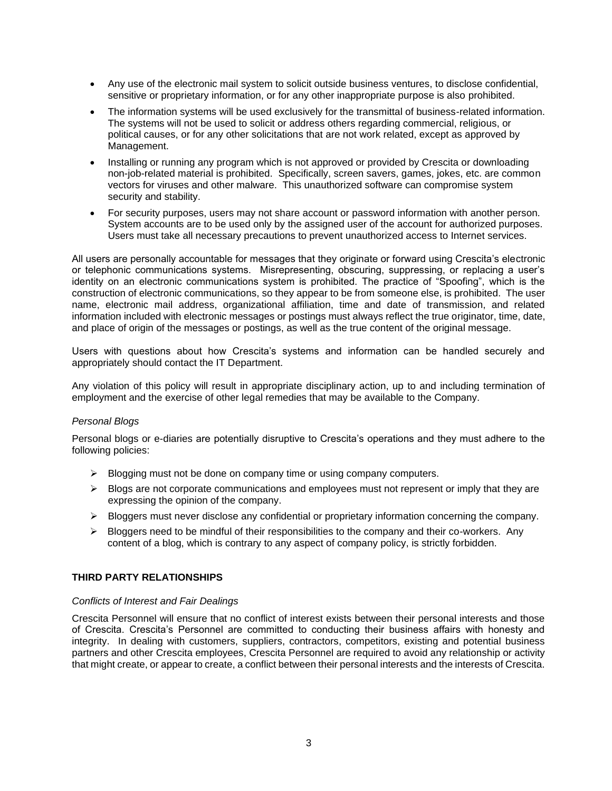- Any use of the electronic mail system to solicit outside business ventures, to disclose confidential, sensitive or proprietary information, or for any other inappropriate purpose is also prohibited.
- The information systems will be used exclusively for the transmittal of business-related information. The systems will not be used to solicit or address others regarding commercial, religious, or political causes, or for any other solicitations that are not work related, except as approved by Management.
- Installing or running any program which is not approved or provided by Crescita or downloading non-job-related material is prohibited. Specifically, screen savers, games, jokes, etc. are common vectors for viruses and other malware. This unauthorized software can compromise system security and stability.
- For security purposes, users may not share account or password information with another person. System accounts are to be used only by the assigned user of the account for authorized purposes. Users must take all necessary precautions to prevent unauthorized access to Internet services.

All users are personally accountable for messages that they originate or forward using Crescita's electronic or telephonic communications systems. Misrepresenting, obscuring, suppressing, or replacing a user's identity on an electronic communications system is prohibited. The practice of "Spoofing", which is the construction of electronic communications, so they appear to be from someone else, is prohibited. The user name, electronic mail address, organizational affiliation, time and date of transmission, and related information included with electronic messages or postings must always reflect the true originator, time, date, and place of origin of the messages or postings, as well as the true content of the original message.

Users with questions about how Crescita's systems and information can be handled securely and appropriately should contact the IT Department.

Any violation of this policy will result in appropriate disciplinary action, up to and including termination of employment and the exercise of other legal remedies that may be available to the Company.

#### *Personal Blogs*

Personal blogs or e-diaries are potentially disruptive to Crescita's operations and they must adhere to the following policies:

- $\triangleright$  Blogging must not be done on company time or using company computers.
- $\triangleright$  Blogs are not corporate communications and employees must not represent or imply that they are expressing the opinion of the company.
- ➢ Bloggers must never disclose any confidential or proprietary information concerning the company.
- $\triangleright$  Bloggers need to be mindful of their responsibilities to the company and their co-workers. Any content of a blog, which is contrary to any aspect of company policy, is strictly forbidden.

## **THIRD PARTY RELATIONSHIPS**

#### *Conflicts of Interest and Fair Dealings*

Crescita Personnel will ensure that no conflict of interest exists between their personal interests and those of Crescita. Crescita's Personnel are committed to conducting their business affairs with honesty and integrity. In dealing with customers, suppliers, contractors, competitors, existing and potential business partners and other Crescita employees, Crescita Personnel are required to avoid any relationship or activity that might create, or appear to create, a conflict between their personal interests and the interests of Crescita.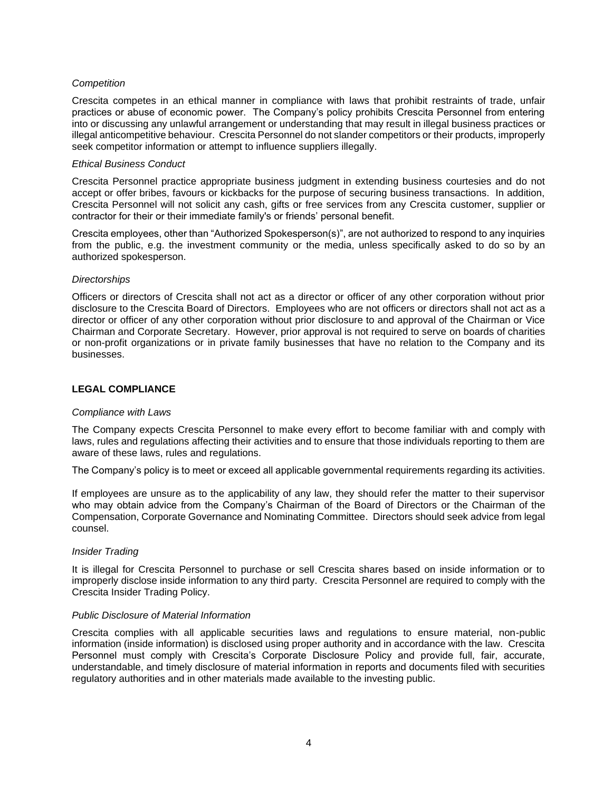#### *Competition*

Crescita competes in an ethical manner in compliance with laws that prohibit restraints of trade, unfair practices or abuse of economic power. The Company's policy prohibits Crescita Personnel from entering into or discussing any unlawful arrangement or understanding that may result in illegal business practices or illegal anticompetitive behaviour. Crescita Personnel do not slander competitors or their products, improperly seek competitor information or attempt to influence suppliers illegally.

#### *Ethical Business Conduct*

Crescita Personnel practice appropriate business judgment in extending business courtesies and do not accept or offer bribes, favours or kickbacks for the purpose of securing business transactions. In addition, Crescita Personnel will not solicit any cash, gifts or free services from any Crescita customer, supplier or contractor for their or their immediate family's or friends' personal benefit.

Crescita employees, other than "Authorized Spokesperson(s)", are not authorized to respond to any inquiries from the public, e.g. the investment community or the media, unless specifically asked to do so by an authorized spokesperson.

#### *Directorships*

Officers or directors of Crescita shall not act as a director or officer of any other corporation without prior disclosure to the Crescita Board of Directors. Employees who are not officers or directors shall not act as a director or officer of any other corporation without prior disclosure to and approval of the Chairman or Vice Chairman and Corporate Secretary. However, prior approval is not required to serve on boards of charities or non-profit organizations or in private family businesses that have no relation to the Company and its businesses.

#### **LEGAL COMPLIANCE**

#### *Compliance with Laws*

The Company expects Crescita Personnel to make every effort to become familiar with and comply with laws, rules and regulations affecting their activities and to ensure that those individuals reporting to them are aware of these laws, rules and regulations.

The Company's policy is to meet or exceed all applicable governmental requirements regarding its activities.

If employees are unsure as to the applicability of any law, they should refer the matter to their supervisor who may obtain advice from the Company's Chairman of the Board of Directors or the Chairman of the Compensation, Corporate Governance and Nominating Committee. Directors should seek advice from legal counsel.

#### *Insider Trading*

It is illegal for Crescita Personnel to purchase or sell Crescita shares based on inside information or to improperly disclose inside information to any third party. Crescita Personnel are required to comply with the Crescita Insider Trading Policy.

#### *Public Disclosure of Material Information*

Crescita complies with all applicable securities laws and regulations to ensure material, non-public information (inside information) is disclosed using proper authority and in accordance with the law. Crescita Personnel must comply with Crescita's Corporate Disclosure Policy and provide full, fair, accurate, understandable, and timely disclosure of material information in reports and documents filed with securities regulatory authorities and in other materials made available to the investing public.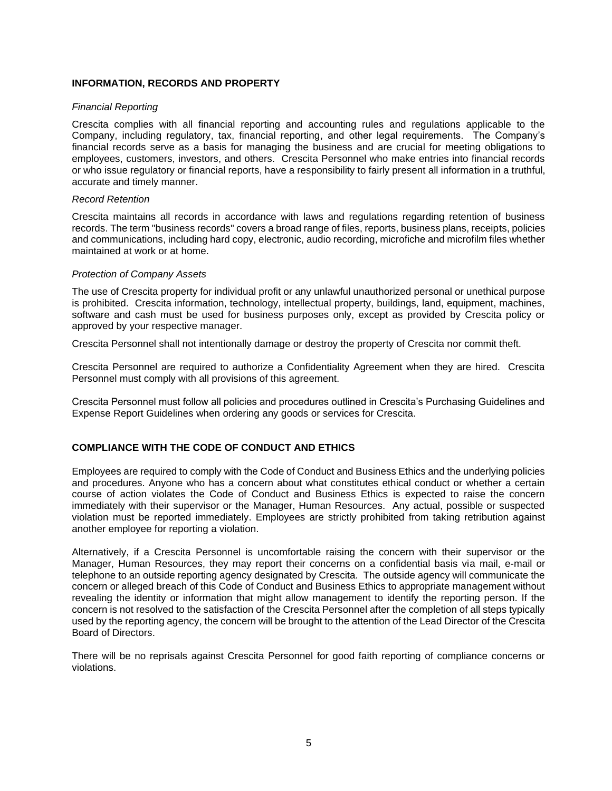### **INFORMATION, RECORDS AND PROPERTY**

#### *Financial Reporting*

Crescita complies with all financial reporting and accounting rules and regulations applicable to the Company, including regulatory, tax, financial reporting, and other legal requirements. The Company's financial records serve as a basis for managing the business and are crucial for meeting obligations to employees, customers, investors, and others. Crescita Personnel who make entries into financial records or who issue regulatory or financial reports, have a responsibility to fairly present all information in a truthful, accurate and timely manner.

#### *Record Retention*

Crescita maintains all records in accordance with laws and regulations regarding retention of business records. The term "business records" covers a broad range of files, reports, business plans, receipts, policies and communications, including hard copy, electronic, audio recording, microfiche and microfilm files whether maintained at work or at home.

#### *Protection of Company Assets*

The use of Crescita property for individual profit or any unlawful unauthorized personal or unethical purpose is prohibited. Crescita information, technology, intellectual property, buildings, land, equipment, machines, software and cash must be used for business purposes only, except as provided by Crescita policy or approved by your respective manager.

Crescita Personnel shall not intentionally damage or destroy the property of Crescita nor commit theft.

Crescita Personnel are required to authorize a Confidentiality Agreement when they are hired. Crescita Personnel must comply with all provisions of this agreement.

Crescita Personnel must follow all policies and procedures outlined in Crescita's Purchasing Guidelines and Expense Report Guidelines when ordering any goods or services for Crescita.

## **COMPLIANCE WITH THE CODE OF CONDUCT AND ETHICS**

Employees are required to comply with the Code of Conduct and Business Ethics and the underlying policies and procedures. Anyone who has a concern about what constitutes ethical conduct or whether a certain course of action violates the Code of Conduct and Business Ethics is expected to raise the concern immediately with their supervisor or the Manager, Human Resources. Any actual, possible or suspected violation must be reported immediately. Employees are strictly prohibited from taking retribution against another employee for reporting a violation.

Alternatively, if a Crescita Personnel is uncomfortable raising the concern with their supervisor or the Manager, Human Resources, they may report their concerns on a confidential basis via mail, e-mail or telephone to an outside reporting agency designated by Crescita. The outside agency will communicate the concern or alleged breach of this Code of Conduct and Business Ethics to appropriate management without revealing the identity or information that might allow management to identify the reporting person. If the concern is not resolved to the satisfaction of the Crescita Personnel after the completion of all steps typically used by the reporting agency, the concern will be brought to the attention of the Lead Director of the Crescita Board of Directors.

There will be no reprisals against Crescita Personnel for good faith reporting of compliance concerns or violations.